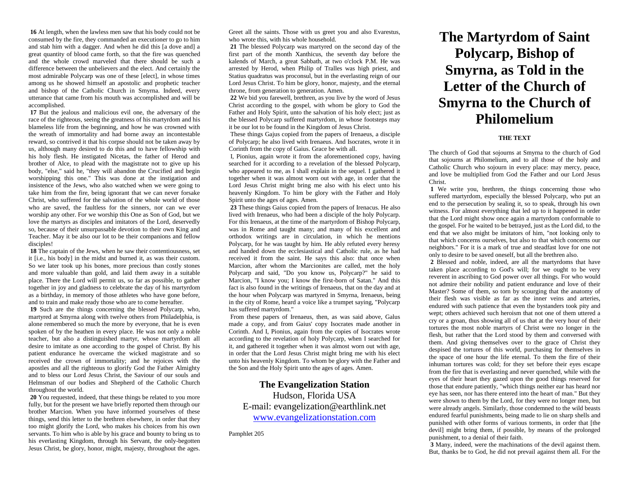**16** At length, when the lawless men saw that his body could not be consumed by the fire, they commanded an executioner to go to him and stab him with a dagger. And when he did this [a dove and] a great quantity of blood came forth, so that the fire was quenched and the whole crowd marveled that there should be such a difference between the unbelievers and the elect. And certainly the most admirable Polycarp was one of these [elect], in whose times among us he showed himself an apostolic and prophetic teacher and bishop of the Catholic Church in Smyrna. Indeed, every utterance that came from his mouth was accomplished and will be accomplished.

**17** But the jealous and malicious evil one, the adversary of the race of the righteous, seeing the greatness of his martyrdom and his blameless life from the beginning, and how he was crowned with the wreath of immortality and had borne away an incontestable reward, so contrived it that his corpse should not be taken away by us, although many desired to do this and to have fellowship with his holy flesh. He instigated Nicetas, the father of Herod and brother of Alce, to plead with the magistrate not to give up his body, "else," said he, "they will abandon the Crucified and begin worshipping this one." This was done at the instigation and insistence of the Jews, who also watched when we were going to take him from the fire, being ignorant that we can never forsake Christ, who suffered for the salvation of the whole world of those who are saved, the faultless for the sinners, nor can we ever worship any other. For we worship this One as Son of God, but we love the martyrs as disciples and imitators of the Lord, deservedly so, because of their unsurpassable devotion to their own King and Teacher. May it be also our lot to be their companions and fellow disciples!

**18** The captain of the Jews, when he saw their contentiousness, set it [i.e., his body] in the midst and burned it, as was their custom. So we later took up his bones, more precious than costly stones and more valuable than gold, and laid them away in a suitable place. There the Lord will permit us, so far as possible, to gather together in joy and gladness to celebrate the day of his martyrdom as a birthday, in memory of those athletes who have gone before, and to train and make ready those who are to come hereafter.

**19** Such are the things concerning the blessed Polycarp, who, martyred at Smyrna along with twelve others from Philadelphia, is alone remembered so much the more by everyone, that he is even spoken of by the heathen in every place. He was not only a noble teacher, but also a distinguished martyr, whose martyrdom all desire to imitate as one according to the gospel of Christ. By his patient endurance he overcame the wicked magistrate and so received the crown of immortality; and he rejoices with the apostles and all the righteous to glorify God the Father Almighty and to bless our Lord Jesus Christ, the Saviour of our souls and Helmsman of our bodies and Shepherd of the Catholic Church throughout the world.

**20** You requested, indeed, that these things be related to you more fully, but for the present we have briefly reported them through our brother Marcion. When you have informed yourselves of these things, send this letter to the brethren elsewhere, in order that they too might glorify the Lord, who makes his choices from his own servants. To him who is able by his grace and bounty to bring us to his everlasting Kingdom, through his Servant, the only-begotten Jesus Christ, be glory, honor, might, majesty, throughout the ages.

Greet all the saints. Those with us greet you and also Evarestus, who wrote this, with his whole household.

**21** The blessed Polycarp was martyred on the second day of the first part of the month Xanthicus, the seventh day before the kalends of March, a great Sabbath, at two o'clock P.M. He was arrested by Herod, when Philip of Tralles was high priest, and Statius quadratus was proconsul, but in the everlasting reign of our Lord Jesus Christ. To him be glory, honor, majesty, and the eternal throne, from generation to generation. Amen.

**22** We bid you farewell, brethren, as you live by the word of Jesus Christ according to the gospel, with whom be glory to God the Father and Holy Spirit, unto the salvation of his holy elect; just as the blessed Polycarp suffered martyrdom, in whose footsteps may it be our lot to be found in the Kingdom of Jesus Christ.

These things Gajus copied from the papers of Irenaeus, a disciple of Polycarp; he also lived with Irenaeus. And Isocrates, wrote it in Corinth from the copy of Gaius. Grace be with all.

I, Pionius, again wrote it from the aforementioned copy, having searched for it according to a revelation of the blessed Polycarp, who appeared to me, as I shall explain in the sequel. I gathered it together when it was almost worn out with age, in order that the Lord Jesus Christ might bring me also with his elect unto his heavenly Kingdom. To him be glory with the Father and Holy Spirit unto the ages of ages. Amen.

**23** These things Gaius copied from the papers of Irenacus. He also lived with Irenaeus, who had been a disciple of the holy Polycarp. For this Irenaeus, at the time of the martyrdom of Bishop Polycarp, was in Rome and taught many; and many of his excellent and orthodox writings are in circulation, in which he mentions Polycarp, for he was taught by him. He ably refuted every heresy and handed down the ecclesiastical and Catholic rule, as he had received it from the saint. He says this also: that once when Marcion, after whom the Marcionites are called, met the holy Polycarp and said, "Do you know us, Polycarp?" he said to Marcion, "I know you; I know the first-born of Satan." And this fact is also found in the writings of Irenaeus, that on the day and at the hour when Polycarp was martyred in Smyrna, Irenaeus, being in the city of Rome, heard a voice like a trumpet saying, "Polycarp has suffered martyrdom."

From these papers of Irenaeus, then, as was said above, Galus made a copy, and from Gaius' copy Isocrates made another in Corinth. And I, Pionius, again from the copies of Isocrates wrote according to the revelation of holy Polycarp, when I searched for it, and gathered it together when it was almost worn out with age, in order that the Lord Jesus Christ might bring me with his elect unto his heavenly Kingdom. To whom be glory with the Father and the Son and the Holy Spirit unto the ages of ages. Amen.

## **The Evangelization Station** Hudson, Florida USA E-mail: evangelization@earthlink.net [www.evangelizationstation.com](http://www.pjpiisoe.org/)

Pamphlet 205

## **The Martyrdom of Saint Polycarp, Bishop of Smyrna, as Told in the Letter of the Church of Smyrna to the Church of Philomelium**

## **THE TEXT**

The church of God that sojourns at Smyrna to the church of God that sojourns at Philomelium, and to all those of the holy and Catholic Church who sojourn in every place: may mercy, peace, and love be multiplied from God the Father and our Lord Jesus Christ.

**1** We write you, brethren, the things concerning those who suffered martyrdom, especially the blessed Polycarp, who put an end to the persecution by sealing it, so to speak, through his own witness. For almost everything that led up to it happened in order that the Lord might show once again a martyrdom conformable to the gospel. For he waited to be betrayed, just as the Lord did, to the end that we also might be imitators of him, "not looking only to that which concerns ourselves, but also to that which concerns our neighbors." For it is a mark of true and steadfast love for one not only to desire to be saved oneself, but all the brethren also.

**2** Blessed and noble, indeed, are all the martyrdoms that have taken place according to God's will; for we ought to be very reverent in ascribing to God power over all things. For who would not admire their nobility and patient endurance and love of their Master? Some of them, so torn by scourging that the anatomy of their flesh was visible as far as the inner veins and arteries, endured with such patience that even the bystanders took pity and wept; others achieved such heroism that not one of them uttered a cry or a groan, thus showing all of us that at the very hour of their tortures the most noble martyrs of Christ were no longer in the flesh, but rather that the Lord stood by them and conversed with them. And giving themselves over to the grace of Christ they despised the tortures of this world, purchasing for themselves in the space of one hour the life eternal. To them the fire of their inhuman tortures was cold; for they set before their eyes escape from the fire that is everlasting and never quenched, while with the eyes of their heart they gazed upon the good things reserved for those that endure patiently, "which things neither ear has heard nor eye has seen, nor has there entered into the heart of man." But they were shown to them by the Lord, for they were no longer men, but were already angels. Similarly, those condemned to the wild beasts endured fearful punishments, being made to lie on sharp shells and punished with other forms of various torments, in order that [the devil] might bring them, if possible, by means of the prolonged punishment, to a denial of their faith.

**3** Many, indeed, were the machinations of the devil against them. But, thanks be to God, he did not prevail against them all. For the